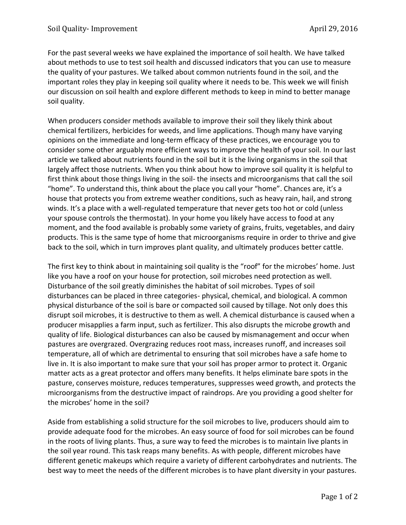For the past several weeks we have explained the importance of soil health. We have talked about methods to use to test soil health and discussed indicators that you can use to measure the quality of your pastures. We talked about common nutrients found in the soil, and the important roles they play in keeping soil quality where it needs to be. This week we will finish our discussion on soil health and explore different methods to keep in mind to better manage soil quality.

When producers consider methods available to improve their soil they likely think about chemical fertilizers, herbicides for weeds, and lime applications. Though many have varying opinions on the immediate and long-term efficacy of these practices, we encourage you to consider some other arguably more efficient ways to improve the health of your soil. In our last article we talked about nutrients found in the soil but it is the living organisms in the soil that largely affect those nutrients. When you think about how to improve soil quality it is helpful to first think about those things living in the soil- the insects and microorganisms that call the soil "home". To understand this, think about the place you call your "home". Chances are, it's a house that protects you from extreme weather conditions, such as heavy rain, hail, and strong winds. It's a place with a well-regulated temperature that never gets too hot or cold (unless your spouse controls the thermostat). In your home you likely have access to food at any moment, and the food available is probably some variety of grains, fruits, vegetables, and dairy products. This is the same type of home that microorganisms require in order to thrive and give back to the soil, which in turn improves plant quality, and ultimately produces better cattle.

The first key to think about in maintaining soil quality is the "roof" for the microbes' home. Just like you have a roof on your house for protection, soil microbes need protection as well. Disturbance of the soil greatly diminishes the habitat of soil microbes. Types of soil disturbances can be placed in three categories- physical, chemical, and biological. A common physical disturbance of the soil is bare or compacted soil caused by tillage. Not only does this disrupt soil microbes, it is destructive to them as well. A chemical disturbance is caused when a producer misapplies a farm input, such as fertilizer. This also disrupts the microbe growth and quality of life. Biological disturbances can also be caused by mismanagement and occur when pastures are overgrazed. Overgrazing reduces root mass, increases runoff, and increases soil temperature, all of which are detrimental to ensuring that soil microbes have a safe home to live in. It is also important to make sure that your soil has proper armor to protect it. Organic matter acts as a great protector and offers many benefits. It helps eliminate bare spots in the pasture, conserves moisture, reduces temperatures, suppresses weed growth, and protects the microorganisms from the destructive impact of raindrops. Are you providing a good shelter for the microbes' home in the soil?

Aside from establishing a solid structure for the soil microbes to live, producers should aim to provide adequate food for the microbes. An easy source of food for soil microbes can be found in the roots of living plants. Thus, a sure way to feed the microbes is to maintain live plants in the soil year round. This task reaps many benefits. As with people, different microbes have different genetic makeups which require a variety of different carbohydrates and nutrients. The best way to meet the needs of the different microbes is to have plant diversity in your pastures.